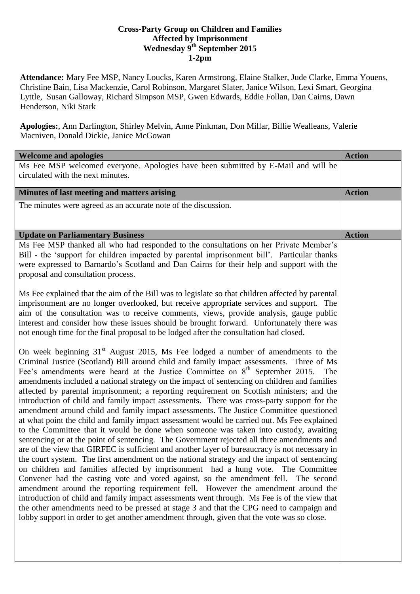## **Cross-Party Group on Children and Families Affected by Imprisonment Wednesday 9 th September 2015 1-2pm**

**Attendance:** Mary Fee MSP, Nancy Loucks, Karen Armstrong, Elaine Stalker, Jude Clarke, Emma Youens, Christine Bain, Lisa Mackenzie, Carol Robinson, Margaret Slater, Janice Wilson, Lexi Smart, Georgina Lyttle, Susan Galloway, Richard Simpson MSP, Gwen Edwards, Eddie Follan, Dan Cairns, Dawn Henderson, Niki Stark

**Apologies:**, Ann Darlington, Shirley Melvin, Anne Pinkman, Don Millar, Billie Wealleans, Valerie Macniven, Donald Dickie, Janice McGowan

| <b>Welcome and apologies</b>                                                                                                                                                                                                                                                                                                                                                                                                                                                                                                                                                                                                                                                                                                                                                                                                                                                                                                                                                                                                                                                                                                                                                                                                                                                                                                                                                                                                                                                                                                                                                                                                                                                                                        | <b>Action</b> |
|---------------------------------------------------------------------------------------------------------------------------------------------------------------------------------------------------------------------------------------------------------------------------------------------------------------------------------------------------------------------------------------------------------------------------------------------------------------------------------------------------------------------------------------------------------------------------------------------------------------------------------------------------------------------------------------------------------------------------------------------------------------------------------------------------------------------------------------------------------------------------------------------------------------------------------------------------------------------------------------------------------------------------------------------------------------------------------------------------------------------------------------------------------------------------------------------------------------------------------------------------------------------------------------------------------------------------------------------------------------------------------------------------------------------------------------------------------------------------------------------------------------------------------------------------------------------------------------------------------------------------------------------------------------------------------------------------------------------|---------------|
| Ms Fee MSP welcomed everyone. Apologies have been submitted by E-Mail and will be<br>circulated with the next minutes.                                                                                                                                                                                                                                                                                                                                                                                                                                                                                                                                                                                                                                                                                                                                                                                                                                                                                                                                                                                                                                                                                                                                                                                                                                                                                                                                                                                                                                                                                                                                                                                              |               |
| Minutes of last meeting and matters arising                                                                                                                                                                                                                                                                                                                                                                                                                                                                                                                                                                                                                                                                                                                                                                                                                                                                                                                                                                                                                                                                                                                                                                                                                                                                                                                                                                                                                                                                                                                                                                                                                                                                         | <b>Action</b> |
| The minutes were agreed as an accurate note of the discussion.                                                                                                                                                                                                                                                                                                                                                                                                                                                                                                                                                                                                                                                                                                                                                                                                                                                                                                                                                                                                                                                                                                                                                                                                                                                                                                                                                                                                                                                                                                                                                                                                                                                      |               |
| <b>Update on Parliamentary Business</b>                                                                                                                                                                                                                                                                                                                                                                                                                                                                                                                                                                                                                                                                                                                                                                                                                                                                                                                                                                                                                                                                                                                                                                                                                                                                                                                                                                                                                                                                                                                                                                                                                                                                             | <b>Action</b> |
| Ms Fee MSP thanked all who had responded to the consultations on her Private Member's<br>Bill - the 'support for children impacted by parental imprisonment bill'. Particular thanks<br>were expressed to Barnardo's Scotland and Dan Cairns for their help and support with the<br>proposal and consultation process.                                                                                                                                                                                                                                                                                                                                                                                                                                                                                                                                                                                                                                                                                                                                                                                                                                                                                                                                                                                                                                                                                                                                                                                                                                                                                                                                                                                              |               |
| Ms Fee explained that the aim of the Bill was to legislate so that children affected by parental<br>imprisonment are no longer overlooked, but receive appropriate services and support. The<br>aim of the consultation was to receive comments, views, provide analysis, gauge public<br>interest and consider how these issues should be brought forward. Unfortunately there was<br>not enough time for the final proposal to be lodged after the consultation had closed.                                                                                                                                                                                                                                                                                                                                                                                                                                                                                                                                                                                                                                                                                                                                                                                                                                                                                                                                                                                                                                                                                                                                                                                                                                       |               |
| On week beginning 31 <sup>st</sup> August 2015, Ms Fee lodged a number of amendments to the<br>Criminal Justice (Scotland) Bill around child and family impact assessments. Three of Ms<br>Fee's amendments were heard at the Justice Committee on $8th$ September 2015.<br>The<br>amendments included a national strategy on the impact of sentencing on children and families<br>affected by parental imprisonment; a reporting requirement on Scottish ministers; and the<br>introduction of child and family impact assessments. There was cross-party support for the<br>amendment around child and family impact assessments. The Justice Committee questioned<br>at what point the child and family impact assessment would be carried out. Ms Fee explained<br>to the Committee that it would be done when someone was taken into custody, awaiting<br>sentencing or at the point of sentencing. The Government rejected all three amendments and<br>are of the view that GIRFEC is sufficient and another layer of bureaucracy is not necessary in<br>the court system. The first amendment on the national strategy and the impact of sentencing<br>on children and families affected by imprisonment had a hung vote. The Committee<br>Convener had the casting vote and voted against, so the amendment fell. The second<br>amendment around the reporting requirement fell. However the amendment around the<br>introduction of child and family impact assessments went through. Ms Fee is of the view that<br>the other amendments need to be pressed at stage 3 and that the CPG need to campaign and<br>lobby support in order to get another amendment through, given that the vote was so close. |               |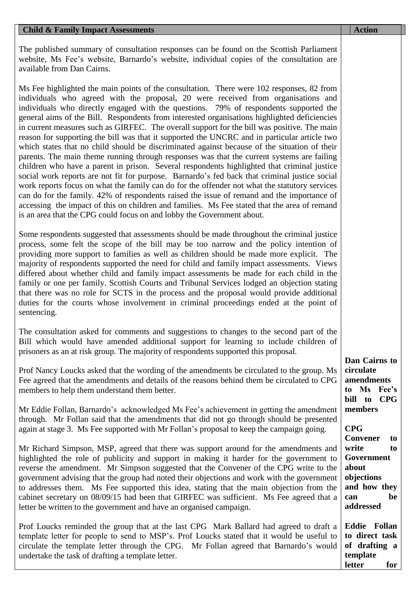## **Child & Family Impact Assessments Action Action Action Action Action Action**

The published summary of consultation responses can be found on the Scottish Parliament website, Ms Fee's website, Barnardo's website, individual copies of the consultation are available from Dan Cairns.

Ms Fee highlighted the main points of the consultation. There were 102 responses, 82 from individuals who agreed with the proposal, 20 were received from organisations and individuals who directly engaged with the questions. 79% of respondents supported the general aims of the Bill. Respondents from interested organisations highlighted deficiencies in current measures such as GIRFEC. The overall support for the bill was positive. The main reason for supporting the bill was that it supported the UNCRC and in particular article two which states that no child should be discriminated against because of the situation of their parents. The main theme running through responses was that the current systems are failing children who have a parent in prison. Several respondents highlighted that criminal justice social work reports are not fit for purpose. Barnardo's fed back that criminal justice social work reports focus on what the family can do for the offender not what the statutory services can do for the family. 42% of respondents raised the issue of remand and the importance of accessing the impact of this on children and families. Ms Fee stated that the area of remand is an area that the CPG could focus on and lobby the Government about.

Some respondents suggested that assessments should be made throughout the criminal justice process, some felt the scope of the bill may be too narrow and the policy intention of providing more support to families as well as children should be made more explicit. The majority of respondents supported the need for child and family impact assessments. Views differed about whether child and family impact assessments be made for each child in the family or one per family. Scottish Courts and Tribunal Services lodged an objection stating that there was no role for SCTS in the process and the proposal would provide additional duties for the courts whose involvement in criminal proceedings ended at the point of sentencing.

The consultation asked for comments and suggestions to changes to the second part of the Bill which would have amended additional support for learning to include children of prisoners as an at risk group. The majority of respondents supported this proposal.

Prof Nancy Loucks asked that the wording of the amendments be circulated to the group. Ms Fee agreed that the amendments and details of the reasons behind them be circulated to CPG members to help them understand them better.

Mr Eddie Follan, Barnardo's acknowledged Ms Fee's achievement in getting the amendment through. Mr Follan said that the amendments that did not go through should be presented again at stage 3. Ms Fee supported with Mr Follan's proposal to keep the campaign going.

Mr Richard Simpson, MSP, agreed that there was support around for the amendments and highlighted the role of publicity and support in making it harder for the government to reverse the amendment. Mr Simpson suggested that the Convener of the CPG write to the government advising that the group had noted their objections and work with the government to addresses them. Ms Fee supported this idea, stating that the main objection from the cabinet secretary on 08/09/15 had been that GIRFEC was sufficient. Ms Fee agreed that a letter be written to the government and have an organised campaign.

Prof Loucks reminded the group that at the last CPG Mark Ballard had agreed to draft a template letter for people to send to MSP's. Prof Loucks stated that it would be useful to circulate the template letter through the CPG. Mr Follan agreed that Barnardo's would undertake the task of drafting a template letter.

**Dan Cairns to circulate amendments to Ms Fee's bill to CPG members**

**CPG Convener to write to Government about objections and how they can be addressed**

**Eddie Follan to direct task of drafting a template letter for**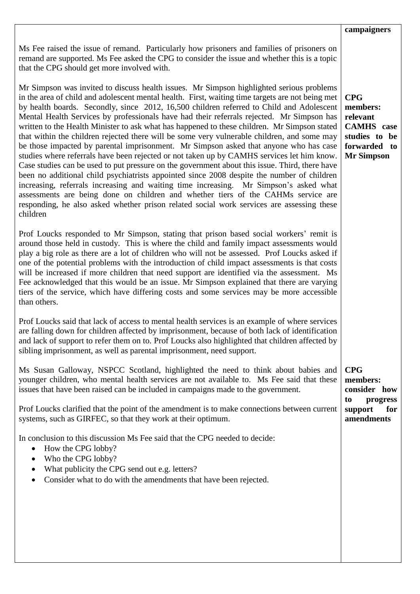## **campaigners**

Ms Fee raised the issue of remand. Particularly how prisoners and families of prisoners on remand are supported. Ms Fee asked the CPG to consider the issue and whether this is a topic that the CPG should get more involved with.

Mr Simpson was invited to discuss health issues. Mr Simpson highlighted serious problems in the area of child and adolescent mental health. First, waiting time targets are not being met by health boards. Secondly, since 2012, 16,500 children referred to Child and Adolescent Mental Health Services by professionals have had their referrals rejected. Mr Simpson has written to the Health Minister to ask what has happened to these children. Mr Simpson stated that within the children rejected there will be some very vulnerable children, and some may be those impacted by parental imprisonment. Mr Simpson asked that anyone who has case studies where referrals have been rejected or not taken up by CAMHS services let him know. Case studies can be used to put pressure on the government about this issue. Third, there have been no additional child psychiatrists appointed since 2008 despite the number of children increasing, referrals increasing and waiting time increasing. Mr Simpson's asked what assessments are being done on children and whether tiers of the CAHMs service are responding, he also asked whether prison related social work services are assessing these children

Prof Loucks responded to Mr Simpson, stating that prison based social workers' remit is around those held in custody. This is where the child and family impact assessments would play a big role as there are a lot of children who will not be assessed. Prof Loucks asked if one of the potential problems with the introduction of child impact assessments is that costs will be increased if more children that need support are identified via the assessment. Ms Fee acknowledged that this would be an issue. Mr Simpson explained that there are varying tiers of the service, which have differing costs and some services may be more accessible than others.

Prof Loucks said that lack of access to mental health services is an example of where services are falling down for children affected by imprisonment, because of both lack of identification and lack of support to refer them on to. Prof Loucks also highlighted that children affected by sibling imprisonment, as well as parental imprisonment, need support.

Ms Susan Galloway, NSPCC Scotland, highlighted the need to think about babies and younger children, who mental health services are not available to. Ms Fee said that these issues that have been raised can be included in campaigns made to the government.

Prof Loucks clarified that the point of the amendment is to make connections between current systems, such as GIRFEC, so that they work at their optimum.

In conclusion to this discussion Ms Fee said that the CPG needed to decide:

- How the CPG lobby?
- Who the CPG lobby?
- What publicity the CPG send out e.g. letters?
- Consider what to do with the amendments that have been rejected.

**CPG members: relevant CAMHS case studies to be forwarded to Mr Simpson**

**CPG members: consider how to progress support for amendments**